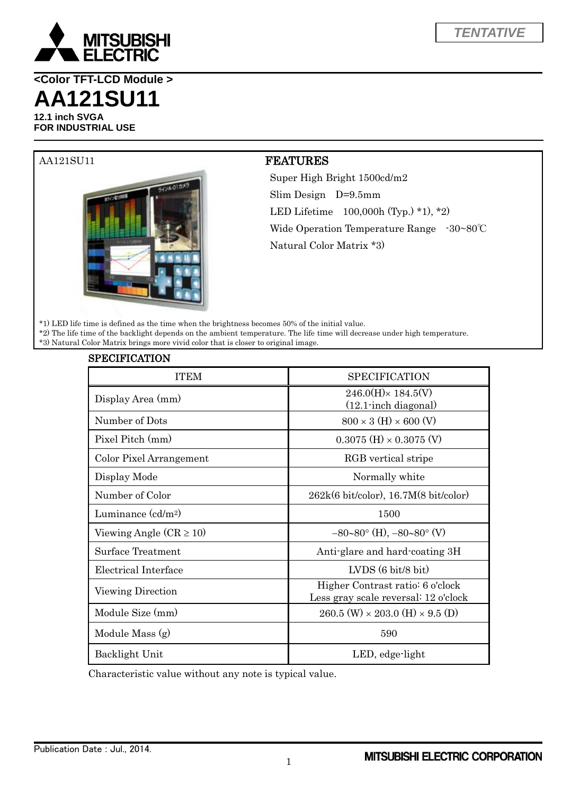

**<Color TFT-LCD Module > AA121SU11**

**12.1 inch SVGA FOR INDUSTRIAL USE**



## AA121SU11 FEATURES

Super High Bright 1500cd/m2 Slim Design D=9.5mm LED Lifetime 100,000h (Typ.) \*1), \*2) Wide Operation Temperature Range -30~80℃ Natural Color Matrix \*3)

\*1) LED life time is defined as the time when the brightness becomes 50% of the initial value.

\*2) The life time of the backlight depends on the ambient temperature. The life time will decrease under high temperature.

\*3) Natural Color Matrix brings more vivid color that is closer to original image.

| <b>SPECIFICATION</b>        |                                                                          |
|-----------------------------|--------------------------------------------------------------------------|
| <b>ITEM</b>                 | <b>SPECIFICATION</b>                                                     |
| Display Area (mm)           | $246.0(H) \times 184.5(V)$<br>$(12.1 \cdot \text{inch diagonal})$        |
| Number of Dots              | $800 \times 3 \text{ (H)} \times 600 \text{ (V)}$                        |
| Pixel Pitch (mm)            | $0.3075$ (H) $\times$ 0.3075 (V)                                         |
| Color Pixel Arrangement     | RGB vertical stripe                                                      |
| Display Mode                | Normally white                                                           |
| Number of Color             | $262k(6 \text{ bit/color})$ , 16.7M $(8 \text{ bit/color})$              |
| Luminance $(cd/m^2)$        | 1500                                                                     |
| Viewing Angle $(CR \ge 10)$ | $-80-80^{\circ}$ (H), $-80-80^{\circ}$ (V)                               |
| <b>Surface Treatment</b>    | Anti-glare and hard-coating 3H                                           |
| Electrical Interface        | $LVDS(6 \text{ bit/8 bit})$                                              |
| Viewing Direction           | Higher Contrast ratio: 6 o'clock<br>Less gray scale reversal: 12 o'clock |
| Module Size (mm)            | $260.5$ (W) $\times$ 203.0 (H) $\times$ 9.5 (D)                          |
| Module Mass (g)             | 590                                                                      |
| Backlight Unit              | LED, edge-light                                                          |

Characteristic value without any note is typical value.